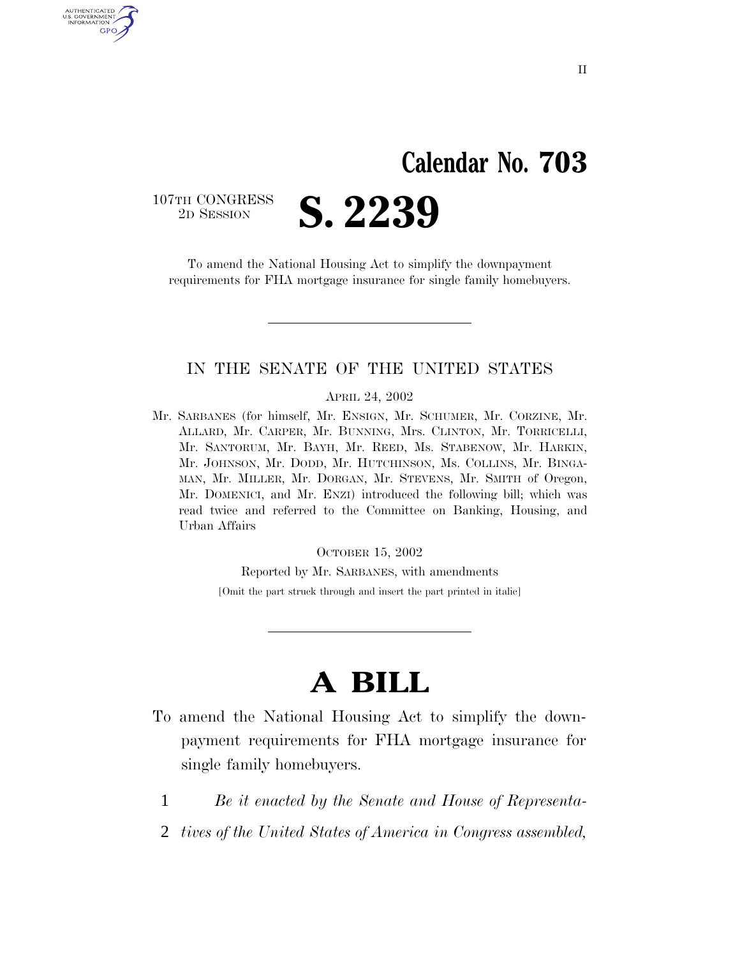## **Calendar No. 703**

107TH CONGRESS<br>2D SESSION

AUTHENTICATED U.S. GOVERNMENT GPO

2D SESSION **S. 2239**

To amend the National Housing Act to simplify the downpayment requirements for FHA mortgage insurance for single family homebuyers.

## IN THE SENATE OF THE UNITED STATES

APRIL 24, 2002

Mr. SARBANES (for himself, Mr. ENSIGN, Mr. SCHUMER, Mr. CORZINE, Mr. ALLARD, Mr. CARPER, Mr. BUNNING, Mrs. CLINTON, Mr. TORRICELLI, Mr. SANTORUM, Mr. BAYH, Mr. REED, Ms. STABENOW, Mr. HARKIN, Mr. JOHNSON, Mr. DODD, Mr. HUTCHINSON, Ms. COLLINS, Mr. BINGA-MAN, Mr. MILLER, Mr. DORGAN, Mr. STEVENS, Mr. SMITH of Oregon, Mr. DOMENICI, and Mr. ENZI) introduced the following bill; which was read twice and referred to the Committee on Banking, Housing, and Urban Affairs

OCTOBER 15, 2002

Reported by Mr. SARBANES, with amendments

[Omit the part struck through and insert the part printed in italic]

## **A BILL**

- To amend the National Housing Act to simplify the downpayment requirements for FHA mortgage insurance for single family homebuyers.
	- 1 *Be it enacted by the Senate and House of Representa-*
	- 2 *tives of the United States of America in Congress assembled,*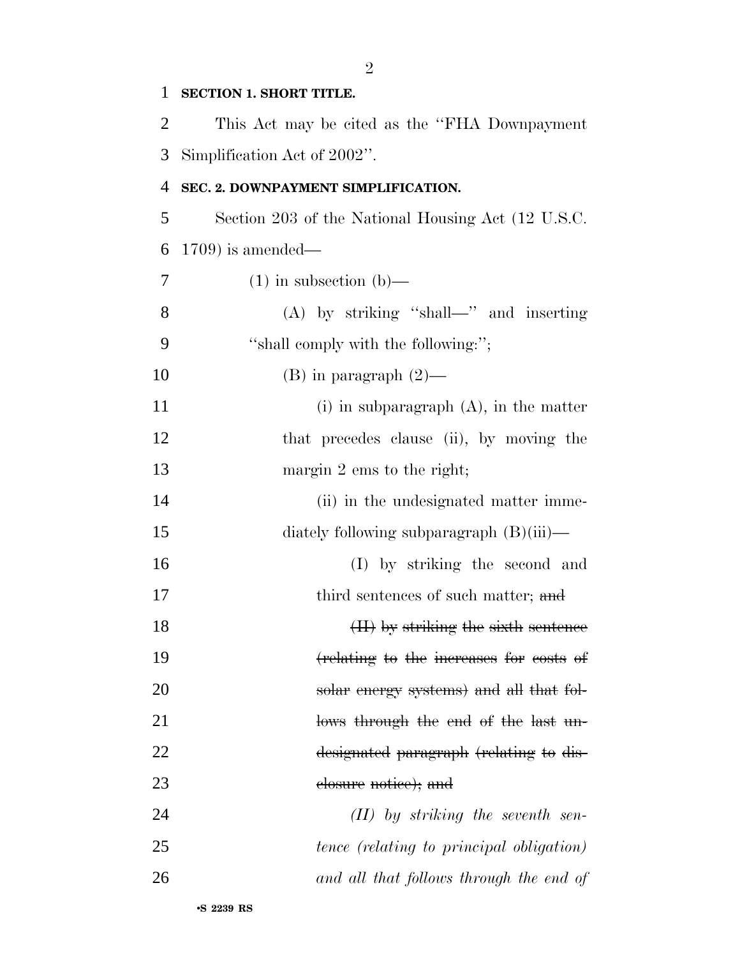| $\mathbf{1}$ | <b>SECTION 1. SHORT TITLE.</b>                     |
|--------------|----------------------------------------------------|
| 2            | This Act may be cited as the "FHA Downpayment"     |
| 3            | Simplification Act of 2002".                       |
| 4            | SEC. 2. DOWNPAYMENT SIMPLIFICATION.                |
| 5            | Section 203 of the National Housing Act (12 U.S.C. |
| 6            | $(1709)$ is amended—                               |
| 7            | $(1)$ in subsection $(b)$ —                        |
| 8            | $(A)$ by striking "shall—" and inserting           |
| 9            | "shall comply with the following:";                |
| 10           | $(B)$ in paragraph $(2)$ —                         |
| 11           | $(i)$ in subparagraph $(A)$ , in the matter        |
| 12           | that precedes clause (ii), by moving the           |
| 13           | margin $2 \text{ ems}$ to the right;               |
| 14           | (ii) in the undesignated matter imme-              |
| 15           | diately following subparagraph (B)(iii)—           |
| 16           | (I) by striking the second and                     |
| 17           | third sentences of such matter; and                |
| 18           | (II) by striking the sixth sentence                |
| 19           | (relating to the increases for costs of            |
| 20           | solar energy systems) and all that fol-            |
| 21           | lows through the end of the last un-               |
| 22           | designated paragraph (relating to dis-             |
| 23           | elosure notice); and                               |
| 24           | $(II)$ by striking the seventh sen-                |
| 25           | tence (relating to principal obligation)           |
| 26           | and all that follows through the end of            |
|              |                                                    |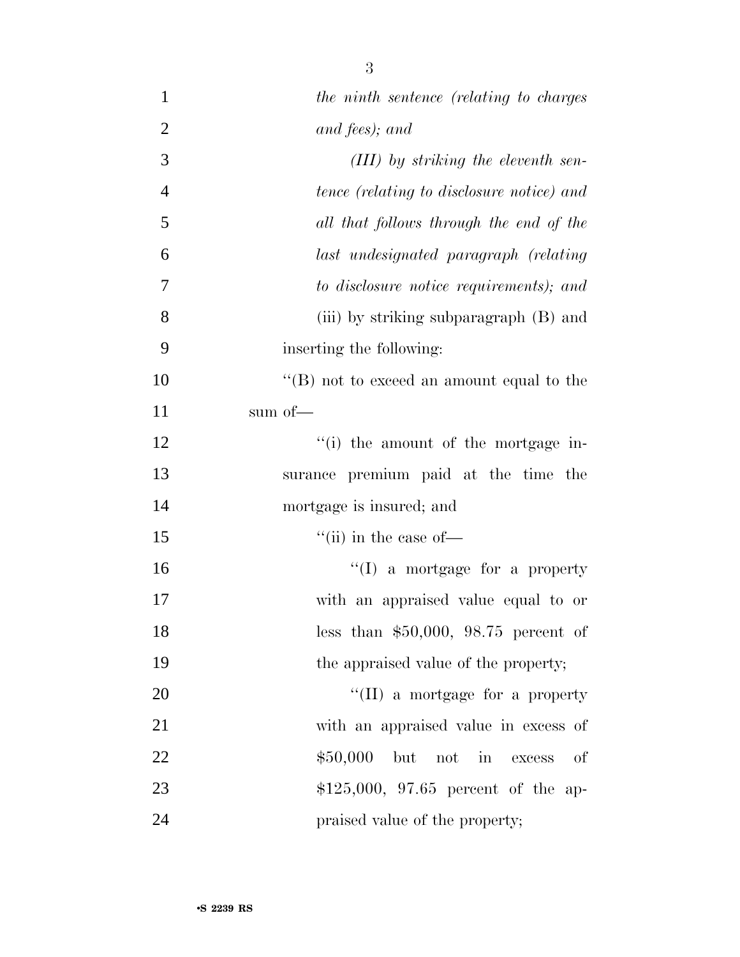| $\mathbf{1}$   | the ninth sentence (relating to charges      |
|----------------|----------------------------------------------|
| $\overline{2}$ | and fees); and                               |
| 3              | $(III)$ by striking the eleventh sen-        |
| $\overline{4}$ | tence (relating to disclosure notice) and    |
| 5              | all that follows through the end of the      |
| 6              | last undesignated paragraph (relating        |
| 7              | to disclosure notice requirements); and      |
| 8              | (iii) by striking subparagraph (B) and       |
| 9              | inserting the following:                     |
| 10             | " $(B)$ not to exceed an amount equal to the |
| 11             | sum of—                                      |
| 12             | "(i) the amount of the mortgage in-          |
| 13             | surance premium paid at the time the         |
| 14             | mortgage is insured; and                     |
| 15             | $\lq\lq$ (ii) in the case of —               |
| 16             | $\lq\lq$ a mortgage for a property           |
| 17             | with an appraised value equal to or          |
| 18             | less than $$50,000$ , $98.75$ percent of     |
| 19             | the appraised value of the property;         |
| 20             | $\lq\lq$ (II) a mortgage for a property      |
| 21             | with an appraised value in excess of         |
| 22             | \$50,000<br>but not in<br>of<br>excess       |
| 23             | $$125,000, 97.65$ percent of the ap-         |
| 24             | praised value of the property;               |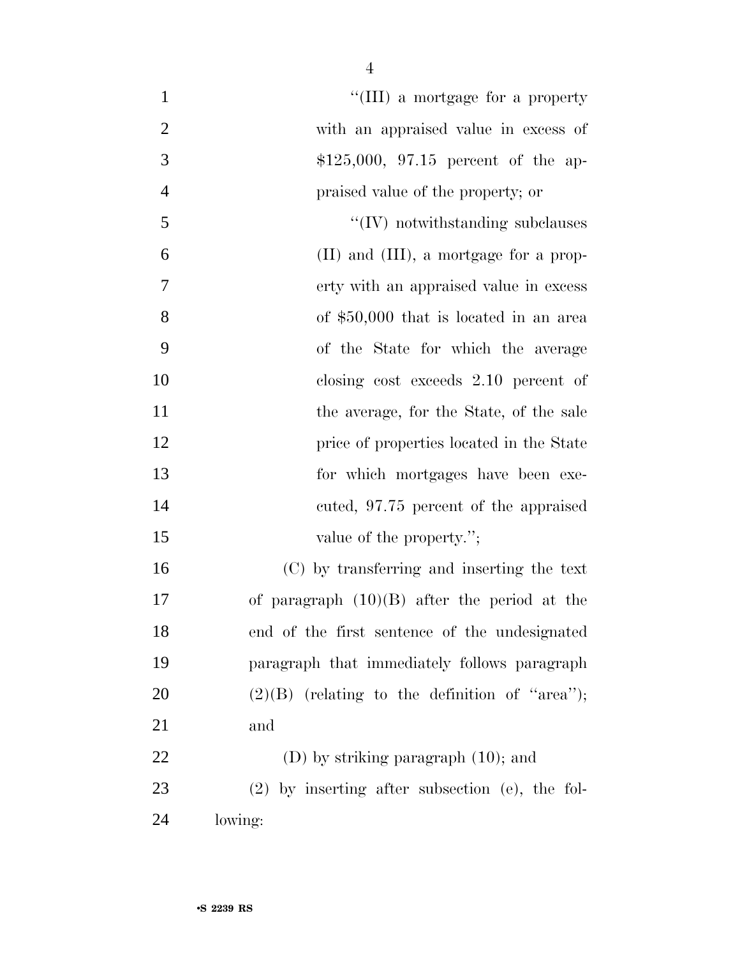| "(III) a mortgage for a property                  |
|---------------------------------------------------|
| with an appraised value in excess of              |
| $$125,000, 97.15$ percent of the ap-              |
| praised value of the property; or                 |
| $\lq\lq$ (IV) notwithstanding subclauses          |
| (II) and (III), a mortgage for a prop-            |
| erty with an appraised value in excess            |
| of \$50,000 that is located in an area            |
| of the State for which the average                |
| closing cost exceeds 2.10 percent of              |
| the average, for the State, of the sale           |
| price of properties located in the State          |
| for which mortgages have been exe-                |
| cuted, 97.75 percent of the appraised             |
| value of the property.";                          |
| (C) by transferring and inserting the text        |
| of paragraph $(10)(B)$ after the period at the    |
| end of the first sentence of the undesignated     |
| paragraph that immediately follows paragraph      |
| $(2)(B)$ (relating to the definition of "area");  |
| and                                               |
| $(D)$ by striking paragraph $(10)$ ; and          |
| $(2)$ by inserting after subsection (e), the fol- |
| lowing:                                           |
|                                                   |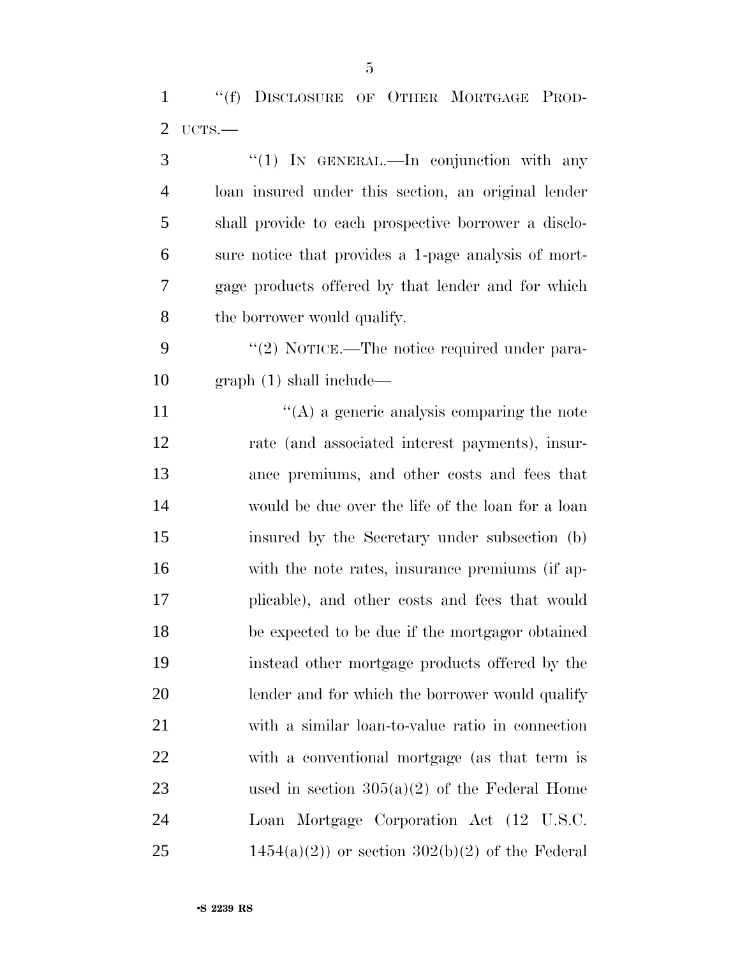''(f) DISCLOSURE OF OTHER MORTGAGE PROD-UCTS.—

| 3              | "(1) IN GENERAL.—In conjunction with any             |
|----------------|------------------------------------------------------|
| $\overline{4}$ | loan insured under this section, an original lender  |
| 5              | shall provide to each prospective borrower a disclo- |
| 6              | sure notice that provides a 1-page analysis of mort- |
| 7              | gage products offered by that lender and for which   |
| 8              | the borrower would qualify.                          |
| 9              | "(2) NOTICE.—The notice required under para-         |
| 10             | graph(1) shall include—                              |
| 11             | $\lq\lq$ (A) a generic analysis comparing the note   |
| 12             | rate (and associated interest payments), insur-      |
| 13             | ance premiums, and other costs and fees that         |
| 14             | would be due over the life of the loan for a loan    |
| 15             | insured by the Secretary under subsection (b)        |
| 16             | with the note rates, insurance premiums (if ap-      |
| 17             | plicable), and other costs and fees that would       |
| 18             | be expected to be due if the mortgagor obtained      |
| 19             | instead other mortgage products offered by the       |
| 20             | lender and for which the borrower would qualify      |
| 21             | with a similar loan-to-value ratio in connection     |
| <u>22</u>      | with a conventional mortgage (as that term is        |
| 23             | used in section $305(a)(2)$ of the Federal Home      |
| 24             | Loan Mortgage Corporation Act (12 U.S.C.             |
| 25             | $1454(a)(2)$ or section $302(b)(2)$ of the Federal   |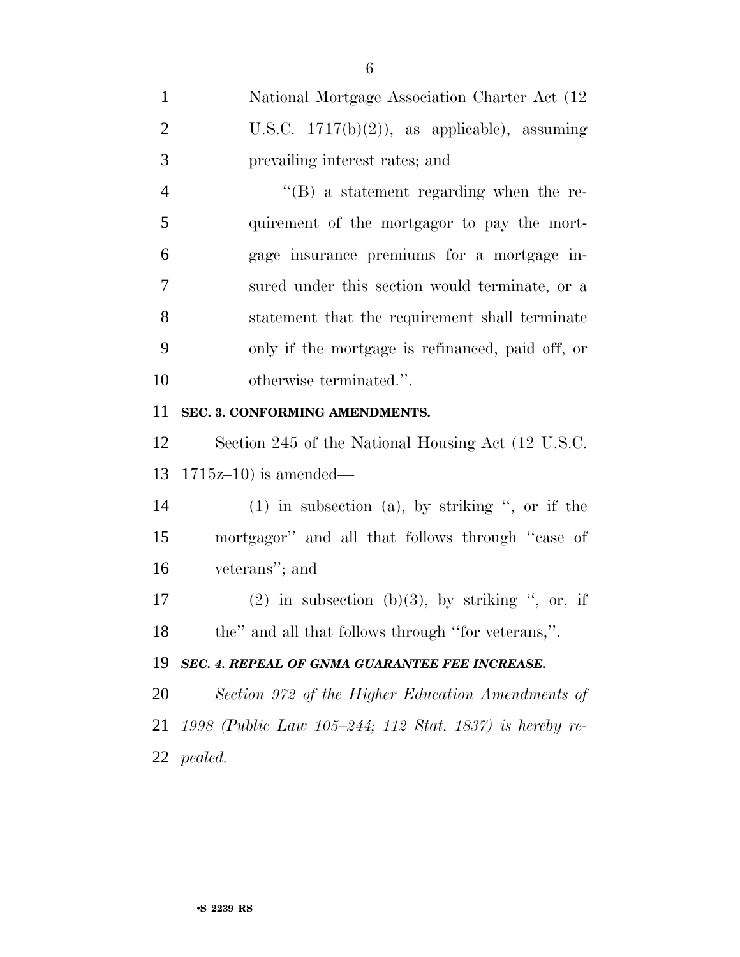| $\mathbf{1}$   | National Mortgage Association Charter Act (12           |
|----------------|---------------------------------------------------------|
| $\overline{2}$ | U.S.C. $1717(b)(2)$ , as applicable), assuming          |
| 3              | prevailing interest rates; and                          |
| $\overline{4}$ | $\lq\lq (B)$ a statement regarding when the re-         |
| 5              | quirement of the mortgagor to pay the mort-             |
| 6              | gage insurance premiums for a mortgage in-              |
| 7              | sured under this section would terminate, or a          |
| 8              | statement that the requirement shall terminate          |
| 9              | only if the mortgage is refinanced, paid off, or        |
| 10             | otherwise terminated.".                                 |
| 11             | SEC. 3. CONFORMING AMENDMENTS.                          |
| 12             | Section 245 of the National Housing Act (12 U.S.C.)     |
| 13             | $1715z-10$ ) is amended—                                |
| 14             | $(1)$ in subsection $(a)$ , by striking ", or if the    |
| 15             | mortgagor" and all that follows through "case of        |
| 16             | veterans"; and                                          |
| 17             | $(2)$ in subsection $(b)(3)$ , by striking ", or, if    |
| 18             | the" and all that follows through "for veterans,".      |
| 19             | SEC. 4. REPEAL OF GNMA GUARANTEE FEE INCREASE.          |
| 20             | Section 972 of the Higher Education Amendments of       |
| 21             | 1998 (Public Law 105-244; 112 Stat. 1837) is hereby re- |
|                | 22 <i>pealed.</i>                                       |